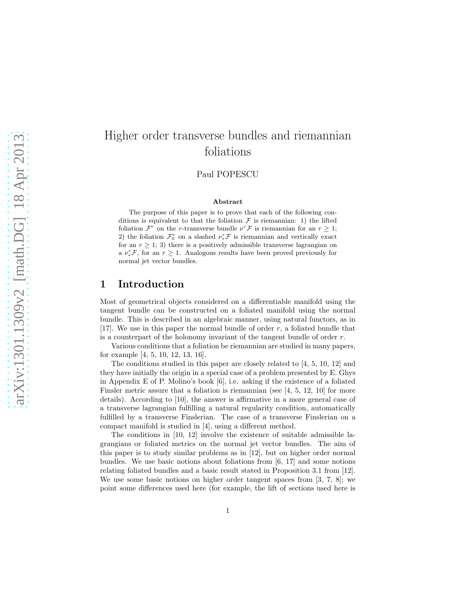# Higher order transverse bundles and riemannian foliations

Paul POPESCU

#### Abstract

The purpose of this paper is to prove that each of the following conditions is equivalent to that the foliation  $\mathcal F$  is riemannian: 1) the lifted foliation  $\mathcal{F}^r$  on the *r*-transverse bundle  $\nu^r \mathcal{F}$  is riemannian for an  $r \geq 1$ ; 2) the foliation  $\mathcal{F}_0^r$  on a slashed  $\nu_*^r \mathcal{F}$  is riemannian and vertically exact for an  $r \geq 1$ ; 3) there is a positively admissible transverse lagrangian on a  $\nu_*^r \mathcal{F}$ , for an  $r \geq 1$ . Analogous results have been proved previously for normal jet vector bundles.

### 1 Introduction

Most of geometrical objects considered on a differentiable manifold using the tangent bundle can be constructed on a foliated manifold using the normal bundle. This is described in an algebraic manner, using natural functors, as in [17]. We use in this paper the normal bundle of order  $r$ , a foliated bundle that is a counterpart of the holonomy invariant of the tangent bundle of order  $r$ .

Various conditions that a foliation be riemannian are studied in many papers, for example [4, 5, 10, 12, 13, 16].

The conditions studied in this paper are closely related to [4, 5, 10, 12] and they have initially the origin in a special case of a problem presented by E. Ghys in Appendix E of P. Molino's book  $[6]$ , i.e. asking if the existence of a foliated Finsler metric assure that a foliation is riemannian (see [4, 5, 12, 10] for more details). According to [10], the answer is affirmative in a more general case of a transverse lagrangian fulfilling a natural regularity condition, automatically fulfilled by a transverse Finslerian. The case of a transverse Finslerian on a compact manifold is studied in [4], using a different method.

The conditions in [10, 12] involve the existence of suitable admissible lagrangians or foliated metrics on the normal jet vector bundles. The aim of this paper is to study similar problems as in [12], but on higher order normal bundles. We use basic notions about foliations from [6, 17] and some notions relating foliated bundles and a basic result stated in Proposition 3.1 from [12]. We use some basic notions on higher order tangent spaces from [3, 7, 8]; we point some differences used here (for example, the lift of sections used here is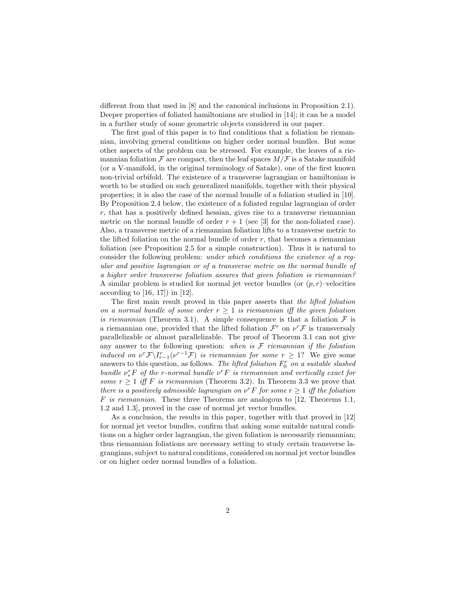different from that used in [8] and the canonical inclusions in Proposition 2.1). Deeper properties of foliated hamiltonians are studied in [14]; it can be a model in a further study of some geometric objects considered in our paper.

The first goal of this paper is to find conditions that a foliation be riemannian, involving general conditions on higher order normal bundles. But some other aspects of the problem can be stressed. For example, the leaves of a riemannian foliation  $\mathcal F$  are compact, then the leaf spaces  $M/\mathcal F$  is a Satake manifold (or a V-manifold, in the original terminology of Satake), one of the first known non-trivial orbifold. The existence of a transverse lagrangian or hamiltonian is worth to be studied on such generalized manifolds, together with their physical properties; it is also the case of the normal bundle of a foliation studied in [10]. By Proposition 2.4 below, the existence of a foliated regular lagrangian of order  $r$ , that has a positively defined hessian, gives rise to a transverse riemannian metric on the normal bundle of order  $r + 1$  (see [3] for the non-foliated case). Also, a transverse metric of a riemannian foliation lifts to a transverse metric to the lifted foliation on the normal bundle of order  $r$ , that becomes a riemannian foliation (see Proposition 2.5 for a simple construction). Thus it is natural to consider the following problem: under which conditions the existence of a regular and positive lagrangian or of a transverse metric on the normal bundle of a higher order transverse foliation assures that given foliation is riemannian? A similar problem is studied for normal jet vector bundles (or  $(p, r)$ –velocities according to [16, 17]) in [12].

The first main result proved in this paper asserts that the lifted foliation on a normal bundle of some order  $r \geq 1$  is riemannian iff the given foliation is riemannian (Theorem 3.1). A simple consequence is that a foliation  $\mathcal F$  is a riemannian one, provided that the lifted foliation  $\mathcal{F}^r$  on  $\nu^r \mathcal{F}$  is transversaly parallelizable or almost parallelizable. The proof of Theorem 3.1 can not give any answer to the following question: when is  $F$  riemannian if the foliation induced on  $v^r \mathcal{F} \setminus I_{r-1}^r(v^{r-1} \mathcal{F})$  is riemannian for some  $r \geq 1$ ? We give some answers to this question, as follows. The lifted foliation  $F_0^r$  on a suitable slashed bundle  $v_*^r F$  of the r-normal bundle  $v^r F$  is riemannian and vertically exact for some  $r \geq 1$  iff F is riemannian (Theorem 3.2). In Theorem 3.3 we prove that there is a positively admissible lagrangian on  $\nu^r F$  for some  $r \geq 1$  iff the foliation F is riemannian. These three Theorems are analogous to  $[12,$  Theorems 1.1, 1.2 and 1.3], proved in the case of normal jet vector bundles.

As a conclusion, the results in this paper, together with that proved in [12] for normal jet vector bundles, confirm that asking some suitable natural conditions on a higher order lagrangian, the given foliation is necessarily riemannian; thus riemannian foliations are necessary setting to study certain transverse lagrangians, subject to natural conditions, considered on normal jet vector bundles or on higher order normal bundles of a foliation.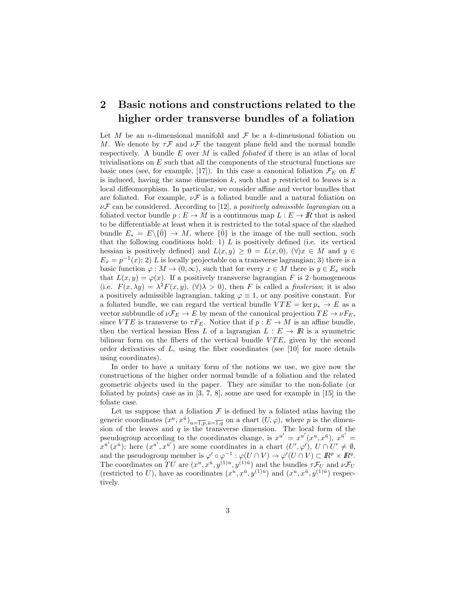## 2 Basic notions and constructions related to the higher order transverse bundles of a foliation

Let M be an *n*-dimensional manifold and  $\mathcal F$  be a k-dimensional foliation on M. We denote by  $\tau \mathcal{F}$  and  $\nu \mathcal{F}$  the tangent plane field and the normal bundle respectively. A bundle  $E$  over  $M$  is called *foliated* if there is an atlas of local trivialisations on E such that all the components of the structural functions are basic ones (see, for example, [17]). In this case a canonical foliation  $\mathcal{F}_E$  on E is induced, having the same dimension  $k$ , such that  $p$  restricted to leaves is a local diffeomorphism. In particular, we consider affine and vector bundles that are foliated. For example,  $\nu \mathcal{F}$  is a foliated bundle and a natural foliation on  $\nu \mathcal{F}$  can be considered. According to [12], a positively admissible lagrangian on a foliated vector bundle  $p : E \to M$  is a continuous map  $L : E \to \mathbb{R}$  that is asked to be differentiable at least when it is restricted to the total space of the slashed bundle  $E_* = E\setminus \{0\} \to M$ , where  $\{0\}$  is the image of the null section, such that the following conditions hold: 1)  $L$  is positively defined (i.e. its vertical hessian is positively defined) and  $L(x, y) \geq 0 = L(x, 0), (\forall) x \in M$  and  $y \in$  $E_x = p^{-1}(x)$ ; 2) L is locally projectable on a transverse lagrangian; 3) there is a basic function  $\varphi : M \to (0, \infty)$ , such that for every  $x \in M$  there is  $y \in E_x$  such that  $L(x, y) = \varphi(x)$ . If a positively transverse lagrangian F is 2-homogeneous (i.e.  $F(x, \lambda y) = \lambda^2 F(x, y), \, (\forall \lambda > 0)$ , then F is called a *finslerian*; it is also a positively admissible lagrangian, taking  $\varphi \equiv 1$ , or any positive constant. For a foliated bundle, we can regard the vertical bundle  $VTE = \ker p_* \to E$  as a vector subbundle of  $\nu \mathcal{F}_E \to E$  by mean of the canonical projection  $TE \to \nu F_E$ , since  $VTE$  is transverse to  $\tau F_E$ . Notice that if  $p: E \to M$  is an affine bundle, then the vertical hessian Hess L of a lagrangian  $L : E \to \mathbb{R}$  is a symmetric bilinear form on the fibers of the vertical bundle  $VTE$ , given by the second order derivatives of  $L$ , using the fiber coordinates (see [10] for more details using coordinates).

In order to have a unitary form of the notions we use, we give now the constructions of the higher order normal bundle of a foliation and the related geometric objects used in the paper. They are similar to the non-foliate (or foliated by points) case as in [3, 7, 8], some are used for example in [15] in the foliate case.

Let us suppose that a foliation  $\mathcal F$  is defined by a foliated atlas having the generic coordinates  $(x^u, x^{\bar{u}})_{u=\overline{1,p}, \bar{u}=\overline{1,q}}$  on a chart  $(U, \varphi)$ , where p is the dimension of the leaves and  $q$  is the transverse dimension. The local form of the pseudogroup according to the coordinates change, is  $x^{u'} = x^{u'}(x^u, x^{\bar{u}})$ ,  $x^{\bar{u}'} =$  $\mathbf{x}^{\bar{u}'}(x^{\bar{u}})$ ; here  $(x^{u'}, x^{\bar{u}'})$  are some coordinates in a chart  $(U', \varphi'), U \cap U' \neq \emptyset$ , and the pseudogroup member is  $\varphi' \circ \varphi^{-1} : \varphi(U \cap V) \to \varphi'(U \cap V) \subset I\!\!R^p \times I\!\!R^q$ . The coordinates on TU are  $(x^u, x^{\bar{u}}, y^{(1)u}, y^{(1)\bar{u}})$  and the bundles  $\tau \mathcal{F}_U$  and  $\nu \mathcal{F}_U$ (restricted to U), have as coordinates  $(x^u, x^{\bar{u}}, y^{(1)u})$  and  $(x^u, x^{\bar{u}}, y^{(1)\bar{u}})$  respectively.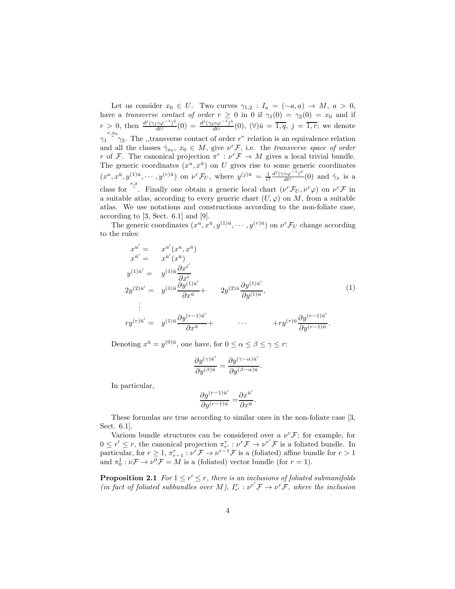Let us consider  $x_0 \in U$ . Two curves  $\gamma_{1,2} : I_a = (-a, a) \to M, a > 0$ , have a transverse contact of order  $r \geq 0$  in 0 if  $\gamma_1(0) = \gamma_2(0) = x_0$  and if  $r > 0$ , then  $\frac{d^j(\gamma_1 \circ \varphi^{-1})^{\bar{u}}}{dt^j}(0) = \frac{d^j(\gamma_2 \circ \varphi^{-1})^{\bar{u}}}{dt^j}(0)$ ,  $(\forall) \bar{u} = \overline{1, q}, j = \overline{1, r}$ ; we denote  $\gamma_1 \stackrel{r,x_0}{\sim} \gamma_2$ . The ,,transverse contact of order r" relation is an equivalence relation and all the classes  $\hat{\gamma}_{x_0}, x_0 \in M$ , give  $\nu^r \mathcal{F}$ , i.e. the transverse space of order r of F. The canonical projection  $\pi^r : \nu^r \to M$  gives a local trivial bundle. The generic coordinates  $(x^u, x^{\bar{u}})$  on U gives rise to some generic coordinates  $(x^u, x^{\bar{u}}, y^{(1)\bar{u}}, \dots, y^{(r)\bar{u}})$  on  $\nu^r \mathcal{F}_U$ , where  $y^{(j)\bar{u}} = \frac{1}{r!}$  $\frac{d^j(\gamma \circ \varphi^{-1})^{\bar{u}}}{dt^j}(0)$  and  $\hat{\gamma}_x$  is a class for  $\int_{0}^{r,x}$ . Finally one obtain a generic local chart  $(\nu^r \mathcal{F}_U, \nu^r \varphi)$  on  $\nu^r \mathcal{F}$  in a suitable atlas, according to every generic chart  $(U, \varphi)$  on M, from a suitable atlas. We use notations and constructions according to the non-foliate case, according to [3, Sect. 6.1] and [9].

The generic coordinates  $(x^u, x^{\bar{u}}, y^{(1)\bar{u}}, \dots, y^{(r)\bar{u}})$  on  $\nu^r \mathcal{F}_U$  change according to the rules:

$$
x^{u'} = x^{u'}(x^u, x^{\bar{u}})
$$
  
\n
$$
x^{\bar{u}'} = x^{\bar{u}'}(x^{\bar{u}})
$$
  
\n
$$
y^{(1)\bar{u}'} = y^{(1)\bar{u}}\frac{\partial x^{i'}}{\partial x^i}
$$
  
\n
$$
2y^{(2)\bar{u}'} = y^{(1)\bar{u}}\frac{\partial y^{(1)\bar{u}'}}{\partial x^{\bar{u}}} + 2y^{(2)\bar{u}}\frac{\partial y^{(1)\bar{u}'}}{\partial y^{(1)\bar{u}}},
$$
  
\n
$$
\vdots
$$
  
\n
$$
ry^{(r)\bar{u}'} = y^{(1)\bar{u}}\frac{\partial y^{(r-1)\bar{u}'}}{\partial x^{\bar{u}}} + \cdots + ry^{(r)\bar{u}}\frac{\partial y^{(r-1)\bar{u}'}}{\partial y^{(r-1)\bar{u}}}.
$$
  
\n(1)

Denoting  $x^{\bar{u}} = y^{(0)\bar{u}}$ , one have, for  $0 \le \alpha \le \beta \le \gamma \le r$ :

$$
\frac{\partial y^{(\gamma)\bar{u}'}}{\partial y^{(\beta)\bar{u}}} = \frac{\partial y^{(\gamma-\alpha)\bar{u}'}}{\partial y^{(\beta-\alpha)\bar{u}}}
$$

.

In particular,

$$
\frac{\partial y^{(r-1)\bar{u}^{\prime}}}{\partial y^{(r-1)\bar{u}}} = \frac{\partial x^{\bar{u}^{\prime}}}{\partial x^{\bar{u}}}.
$$

These formulas are true according to similar ones in the non-foliate case [3, Sect. 6.1].

Various bundle structures can be considered over a  $\nu^r \mathcal{F}$ ; for example, for  $0 \leq r' \leq r$ , the canonical projection  $\pi_{r'}^r : \nu^r \mathcal{F} \to \nu^{r'} \mathcal{F}$  is a foliated bundle. In particular, for  $r \geq 1$ ,  $\pi_{r-1}^r : \nu^r \mathcal{F} \to \nu^{r-1} \mathcal{F}$  is a (foliated) affine bundle for  $r > 1$ and  $\pi_0^1 : \nu \mathcal{F} \to \nu^0 \mathcal{F} = M$  is a (foliated) vector bundle (for  $r = 1$ ).

**Proposition 2.1** For  $1 \leq r' \leq r$ , there is an inclusions of foliated submanifolds (in fact of foliated subbundles over M),  $I_{r'}^r : \nu^{r'} \mathcal{F} \to \nu^r \mathcal{F}$ , where the inclusion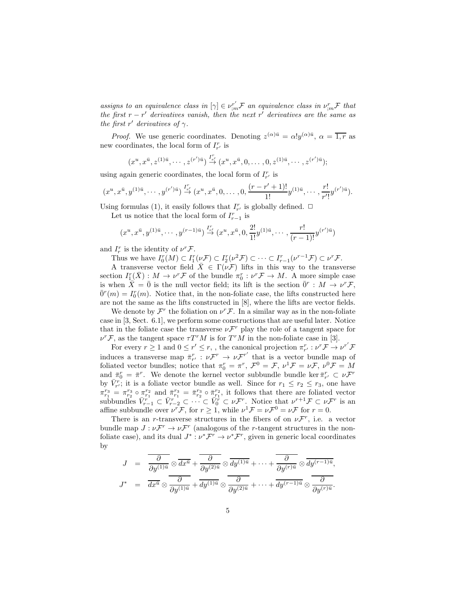assigns to an equivalence class in  $[\gamma] \in \nu_{m}^{r'} \mathcal{F}$  an equivalence class in  $\nu_{m}^{r} \mathcal{F}$  that the first  $r - r'$  derivatives vanish, then the next r<sup>*i*</sup> derivatives are the same as the first r' derivatives of  $\gamma$ .

*Proof.* We use generic coordinates. Denoting  $z^{(\alpha)\bar{u}} = \alpha! y^{(\alpha)\bar{u}}, \alpha = \overline{1,r}$  as new coordinates, the local form of  $I_{r'}^r$  is

$$
(x^u, x^{\bar{u}}, z^{(1)\bar{u}}, \cdots, z^{(r')\bar{u}}) \stackrel{I_{r'}^r}{\rightarrow} (x^u, x^{\bar{u}}, 0, \ldots, 0, z^{(1)\bar{u}}, \cdots, z^{(r')\bar{u}});
$$

using again generic coordinates, the local form of  $I_{r'}^r$  is

$$
(x^u, x^{\bar{u}}, y^{(1)\bar{u}}, \cdots, y^{(r')\bar{u}}) \stackrel{I^r_{r'}}{\rightarrow} (x^u, x^{\bar{u}}, 0, \ldots, 0, \frac{(r-r'+1)!}{1!}y^{(1)\bar{u}}, \cdots, \frac{r!}{r'!}y^{(r')\bar{u}}).
$$

Using formulas (1), it easily follows that  $I_{r'}^r$  is globally defined.  $\Box$ 

Let us notice that the local form of  $I_{r-1}^r$  is

$$
(x^u, x^{\bar{u}}, y^{(1)\bar{u}}, \cdots, y^{(r-1)\bar{u}}) \stackrel{I^r_{r'}}{\to} (x^u, x^{\bar{u}}, 0, \frac{2!}{1!}y^{(1)\bar{u}}, \cdots, \frac{r!}{(r-1)!}y^{(r')\bar{u}})
$$

and  $I_r^r$  is the identity of  $\nu^r \mathcal{F}$ .

Thus we have  $I_0^r(M) \subset I_1^r(\nu \mathcal{F}) \subset I_2^r(\nu^2 \mathcal{F}) \subset \cdots \subset I_{r-1}^r(\nu^{r-1} \mathcal{F}) \subset \nu^r \mathcal{F}$ .

A transverse vector field  $\bar{X} \in \Gamma(\nu \mathcal{F})$  lifts in this way to the transverse section  $I_1^r(\bar{X})$ :  $M \to \nu^r \mathcal{F}$  of the bundle  $\pi_0^r : \nu^r \mathcal{F} \to M$ . A more simple case is when  $\overline{X} = \overline{0}$  is the null vector field; its lift is the section  $\overline{0}^r : M \to \nu^r \mathcal{F}$ ,  $\overline{0}^r(m) = I_0^r(m)$ . Notice that, in the non-foliate case, the lifts constructed here are not the same as the lifts constructed in [8], where the lifts are vector fields.

We denote by  $\mathcal{F}^r$  the foliation on  $\nu^r \mathcal{F}$ . In a similar way as in the non-foliate case in [3, Sect. 6.1], we perform some constructions that are useful later. Notice that in the foliate case the transverse  $\nu \mathcal{F}^r$  play the role of a tangent space for  $\nu^r \mathcal{F}$ , as the tangent space  $\tau T^r M$  is for  $T^r M$  in the non-foliate case in [3].

For every  $r \geq 1$  and  $0 \leq r' \leq r$ , the canonical projection  $\pi_{r'}^r : \nu^r \mathcal{F} \to \nu^{r'} \mathcal{F}$ induces a transverse map  $\bar{\pi}_{r'}^r : \nu \mathcal{F}^r \to \nu \mathcal{F}^{r'}$  that is a vector bundle map of foliated vector bundles; notice that  $\pi_0^r = \pi^r$ ,  $\mathcal{F}^0 = \mathcal{F}$ ,  $\nu^1 \mathcal{F} = \nu \mathcal{F}$ ,  $\nu^0 \mathcal{F} = M$ and  $\bar{\pi}_0^r = \bar{\pi}^r$ . We denote the kernel vector subbundle bundle ker $\bar{\pi}_{r'}^r \subset \nu \mathcal{F}^r$ by  $\bar{V}_{r'}^r$ ; it is a foliate vector bundle as well. Since for  $r_1 \leq r_2 \leq r_3$ , one have  $\pi_{r_1}^{r_3} = \pi_{r_2}^{r_3} \circ \pi_{r_1}^{r_2}$  and  $\pi_{r_1}^{r_3} = \pi_{r_2}^{r_3} \circ \pi_{r_1}^{r_2}$ , it follows that there are foliated vector subbundles  $\bar{V}_{r-1}^r \subset \bar{V}_{r-2}^r \subset \cdots \subset \bar{V}_0^r \subset \nu \mathcal{F}^r$ . Notice that  $\nu^{r+1} \mathcal{F} \subset \nu \mathcal{F}^r$  is an affine subbundle over  $\nu^r \mathcal{F}$ , for  $r \geq 1$ , while  $\nu^1 \mathcal{F} = \nu \mathcal{F}^0 = \nu \mathcal{F}$  for  $r = 0$ .

There is an *r*-transverse structures in the fibers of on  $\nu \mathcal{F}^r$ , i.e. a vector bundle map  $J: \nu \mathcal{F}^r \to \nu \mathcal{F}^r$  (analogous of the *r*-tangent structures in the nonfoliate case), and its dual  $J^* : \nu^* \mathcal{F}^r \to \nu^* \mathcal{F}^r$ , given in generic local coordinates by

$$
J = \frac{\partial}{\partial y^{(1)\bar{u}}} \otimes \overline{dx^{\bar{u}}} + \frac{\partial}{\partial y^{(2)\bar{u}}} \otimes \overline{dy^{(1)\bar{u}}} + \cdots + \overline{\frac{\partial}{\partial y^{(r)\bar{u}}} \otimes \overline{dy^{(r-1)\bar{u}}}},
$$
  

$$
J^* = \overline{dx^{\bar{u}}} \otimes \overline{\frac{\partial}{\partial y^{(1)\bar{u}}} + dy^{(1)\bar{u}}} \otimes \overline{\frac{\partial}{\partial y^{(2)\bar{u}}} + \cdots + dy^{(r-1)\bar{u}}} \otimes \overline{\frac{\partial}{\partial y^{(r)\bar{u}}} }.
$$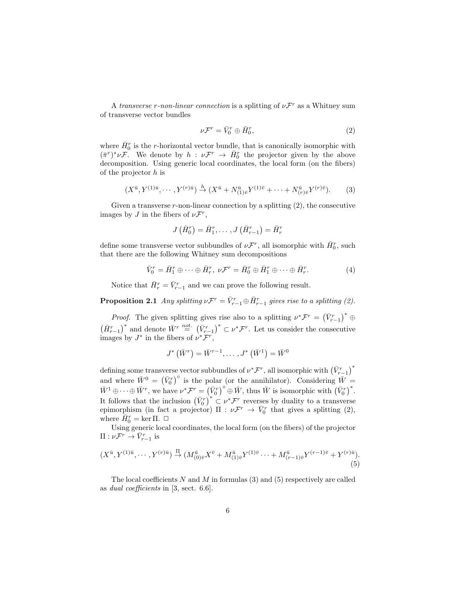A transverse r-non-linear connection is a splitting of  $\nu \mathcal{F}^r$  as a Whitney sum of transverse vector bundles

$$
\nu \mathcal{F}^r = \bar{V}_0^r \oplus \bar{H}_0^r,\tag{2}
$$

where  $\bar{H}_0^r$  is the r-horizontal vector bundle, that is canonically isomorphic with  $(\bar{\pi}^r)^* \nu \mathcal{F}$ . We denote by  $h: \nu \mathcal{F}^r \to \bar{H}_0^r$  the projector given by the above decomposition. Using generic local coordinates, the local form (on the fibers) of the projector  $h$  is

$$
(X^{\bar{u}}, Y^{(1)\bar{u}}, \cdots, Y^{(r)\bar{u}}) \stackrel{h}{\to} (X^{\bar{u}} + N^{\bar{u}}_{(1)\bar{v}} Y^{(1)\bar{v}} + \cdots + N^{\bar{u}}_{(r)\bar{v}} Y^{(r)\bar{v}}).
$$
 (3)

Given a transverse  $r$ -non-linear connection by a splitting  $(2)$ , the consecutive images by  $J$  in the fibers of  $\nu \mathcal{F}^r$ ,

$$
J\left(\bar{H}_0^r\right)=\bar{H}_1^r,\ldots\,, J\left(\bar{H}_{r-1}^r\right)=\bar{H}_r^r
$$

define some transverse vector subbundles of  $\nu \mathcal{F}^r$ , all isomorphic with  $\bar{H}_0^r$ , such that there are the following Whitney sum decompositions

$$
\bar{V}_0^r = \bar{H}_1^r \oplus \cdots \oplus \bar{H}_r^r, \ \nu \mathcal{F}^r = \bar{H}_0^r \oplus \bar{H}_1^r \oplus \cdots \oplus \bar{H}_r^r. \tag{4}
$$

Notice that  $\bar{H}_r^r = \bar{V}_{r-1}^r$  and we can prove the following result.

**Proposition 2.1** Any splitting  $\nu \mathcal{F}^r = \bar{V}^r_{r-1} \oplus \bar{H}^r_{r-1}$  gives rise to a splitting (2).

*Proof.* The given splitting gives rise also to a splitting  $\nu^* \mathcal{F}^r = (\bar{V}^r_{r-1})^* \oplus$  $(\bar{H}_{r-1}^r)^*$  and denote  $\bar{W}^r \stackrel{not.}{=} (\bar{V}_{r-1}^r)^* \subset \nu^* \mathcal{F}^r$ . Let us consider the consecutive images by  $J^*$  in the fibers of  $\nu^* \mathcal{F}^r$ ,

$$
J^*\left(\bar{W}^r\right) = \bar{W}^{r-1}, \dots, J^*\left(\bar{W}^1\right) = \bar{W}^0
$$

defining some transverse vector subbundles of  $\nu^* \mathcal{F}^r$ , all isomorphic with  $\left(\bar{V}^r_{r-1}\right)^*$ and where  $\bar{W}^0 = (\bar{V}_0^r)^{\circ}$  is the polar (or the annihilator). Considering  $\bar{W} =$  $\overline{W}^1 \oplus \cdots \oplus \overline{W}^r$ , we have  $\nu^* \mathcal{F}^r = (\overline{V}_0^r)^{\circ} \oplus \overline{W}$ , thus  $\overline{W}$  is isomorphic with  $(\overline{V}_0^r)^*$ . It follows that the inclusion  $(\bar{V}_0^r)^* \subset \nu^* \mathcal{F}^r$  reverses by duality to a transverse epimorphism (in fact a projector)  $\Pi : \nu \mathcal{F}^r \to \bar{V}_0^r$  that gives a splitting (2), where  $\bar{H}_0^r = \ker \Pi$ .  $\Box$ 

Using generic local coordinates, the local form (on the fibers) of the projector  $\Pi: \nu \mathcal{F}^r \to \bar{V}^r_{r-1}$  is

$$
(X^{\bar{u}}, Y^{(1)\bar{u}}, \cdots, Y^{(r)\bar{u}}) \stackrel{\Pi}{\to} (M^{\bar{u}}_{(0)\bar{v}} X^{\bar{v}} + M^{\bar{u}}_{(1)\bar{v}} Y^{(1)\bar{v}} \cdots + M^{\bar{u}}_{(r-1)\bar{v}} Y^{(r-1)\bar{v}} + Y^{(r)\bar{u}}).
$$
\n(5)

The local coefficients N and M in formulas  $(3)$  and  $(5)$  respectively are called as dual coefficients in [3, sect. 6.6].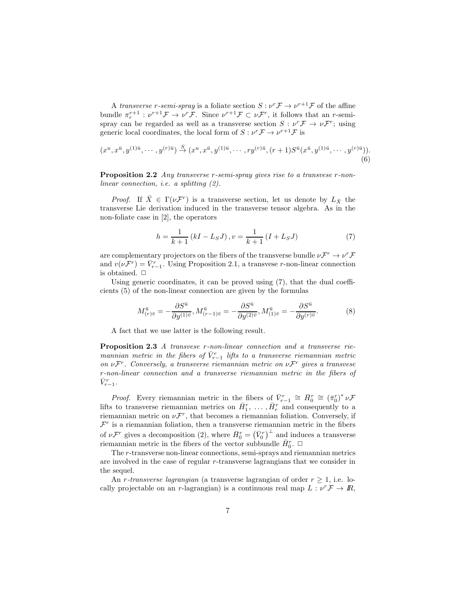A transverse r-semi-spray is a foliate section  $S: \nu^r \mathcal{F} \to \nu^{r+1} \mathcal{F}$  of the affine bundle  $\pi_r^{r+1}: \nu^{r+1}\mathcal{F} \to \nu^r\mathcal{F}$ . Since  $\nu^{r+1}\mathcal{F} \subset \nu\mathcal{F}^r$ , it follows that an r-semispray can be regarded as well as a transverse section  $S: \nu^r \mathcal{F} \to \nu \mathcal{F}^r$ ; using generic local coordinates, the local form of  $S: \nu^r \mathcal{F} \to \nu^{r+1} \mathcal{F}$  is

$$
(x^u, x^{\bar{u}}, y^{(1)\bar{u}}, \cdots, y^{(r)\bar{u}}) \stackrel{S}{\to} (x^u, x^{\bar{u}}, y^{(1)\bar{u}}, \cdots, ry^{(r)\bar{u}}, (r+1)S^{\bar{u}}(x^{\bar{u}}, y^{(1)\bar{u}}, \cdots, y^{(r)\bar{u}})).
$$
\n(6)

**Proposition 2.2** Any transverse r-semi-spray gives rise to a transvese r-nonlinear connection, i.e. a splitting (2).

*Proof.* If  $\bar{X} \in \Gamma(\nu \mathcal{F}^r)$  is a transverse section, let us denote by  $L_{\bar{X}}$  the transverse Lie derivation induced in the transverse tensor algebra. As in the non-foliate case in [2], the operators

$$
h = \frac{1}{k+1} (kI - L_S J), v = \frac{1}{k+1} (I + L_S J)
$$
 (7)

are complementary projectors on the fibers of the transverse bundle  $\nu \mathcal{F}^r \to \nu^r \mathcal{F}$ and  $v(\nu \mathcal{F}^r) = \bar{V}^r_{r-1}$ . Using Proposition 2.1, a transvese r-non-linear connection is obtained.  $\Box$ 

Using generic coordinates, it can be proved using (7), that the dual coefficients (5) of the non-linear connection are given by the formulas

$$
M_{(r)\bar{v}}^{\bar{u}} = -\frac{\partial S^{\bar{u}}}{\partial y^{(1)\bar{v}}}, M_{(r-1)\bar{v}}^{\bar{u}} = -\frac{\partial S^{\bar{u}}}{\partial y^{(2)\bar{v}}}, M_{(1)\bar{v}}^{\bar{u}} = -\frac{\partial S^{\bar{u}}}{\partial y^{(r)\bar{v}}}.
$$
(8)

A fact that we use latter is the following result.

Proposition 2.3 A transvese r-non-linear connection and a transverse riemannian metric in the fibers of  $\bar{V}_{r-1}^{r}$  lifts to a transverse riemannian metric on  $\nu \mathcal{F}^r$ . Conversely, a transverse riemannian metric on  $\nu \mathcal{F}^r$  gives a transvese r-non-linear connection and a transverse riemannian metric in the fibers of  $\bar{V}_{r-1}^r$ .

*Proof.* Every riemannian metric in the fibers of  $\bar{V}_{r-1}^r \cong \bar{H}_0^r \cong (\bar{\pi}_0^r)^* \nu \mathcal{F}$ lifts to transverse riemannian metrics on  $\bar{H}_1^r$ , ...,  $\bar{H}_r^r$  and consequently to a riemannian metric on  $\nu \mathcal{F}^r$ , that becomes a riemannian foliation. Conversely, if  $\mathcal{F}^r$  is a riemannian foliation, then a transverse riemannian metric in the fibers of  $\nu \mathcal{F}^r$  gives a decomposition (2), where  $\bar{H}_0^r = (\bar{V}_0^r)^{\perp}$  and induces a transverse riemannian metric in the fibers of the vector subbundle  $\bar{H}_{0}^{r}$ .  $\Box$ 

The r-transverse non-linear connections, semi-sprays and riemannian metrics are involved in the case of regular r-transverse lagrangians that we consider in the sequel.

An r-transverse lagrangian (a transverse lagrangian of order  $r \geq 1$ , i.e. locally projectable on an r-lagrangian) is a continuous real map  $L: \nu^r \mathcal{F} \to \mathbb{R}$ ,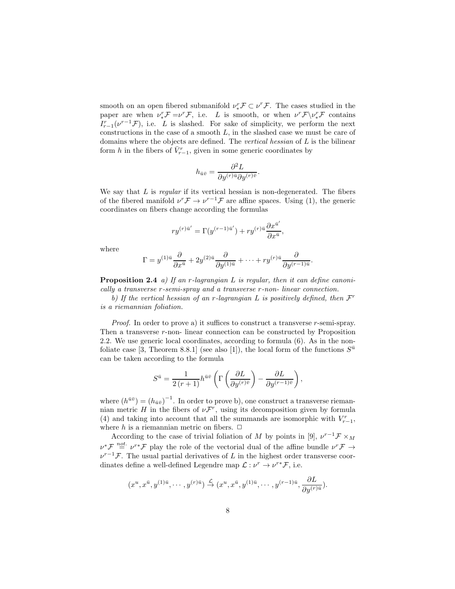smooth on an open fibered submanifold  $\nu_*^r \mathcal{F} \subset \nu^r \mathcal{F}$ . The cases studied in the paper are when  $\nu_*^r \mathcal{F} = \nu^r \mathcal{F}$ , i.e. L is smooth, or when  $\nu^r \mathcal{F} \setminus \nu_*^r \mathcal{F}$  contains  $I_{r-1}^r(\nu^{r-1}\mathcal{F})$ , i.e. L is slashed. For sake of simplicity, we perform the next constructions in the case of a smooth  $L$ , in the slashed case we must be care of domains where the objects are defined. The vertical hessian of L is the bilinear form h in the fibers of  $\bar{V}_{r-1}^r$ , given in some generic coordinates by

$$
h_{\bar{u}\bar{v}} = \frac{\partial^2 L}{\partial y^{(r)\bar{u}} \partial y^{(r)\bar{v}}}.
$$

We say that  $L$  is *regular* if its vertical hessian is non-degenerated. The fibers of the fibered manifold  $\nu^r \mathcal{F} \to \nu^{r-1} \mathcal{F}$  are affine spaces. Using (1), the generic coordinates on fibers change according the formulas

$$
ry^{(r)\bar{u}'} = \Gamma(y^{(r-1)\bar{u}'}) + ry^{(r)\bar{u}}\frac{\partial x^{\bar{u}'}}{\partial x^{\bar{u}}},
$$

where

$$
\Gamma = y^{(1)\bar{u}} \frac{\partial}{\partial x^{\bar{u}}} + 2y^{(2)\bar{u}} \frac{\partial}{\partial y^{(1)\bar{u}}} + \dots + ry^{(r)\bar{u}} \frac{\partial}{\partial y^{(r-1)\bar{u}}}
$$

.

**Proposition 2.4** a) If an r-lagrangian L is regular, then it can define canonically a transverse r-semi-spray and a transverse r-non- linear connection.

b) If the vertical hessian of an r-lagrangian L is positively defined, then  $\mathcal{F}^r$ is a riemannian foliation.

*Proof.* In order to prove a) it suffices to construct a transverse  $r$ -semi-spray. Then a transverse  $r$ -non- linear connection can be constructed by Proposition 2.2. We use generic local coordinates, according to formula (6). As in the nonfoliate case [3, Theorem 8.8.1] (see also [1]), the local form of the functions  $S^{\bar{u}}$ can be taken according to the formula

$$
S^{\bar{u}} = \frac{1}{2(r+1)} h^{\bar{u}\bar{v}} \left( \Gamma \left( \frac{\partial L}{\partial y^{(r)\bar{v}}} \right) - \frac{\partial L}{\partial y^{(r-1)\bar{v}}} \right),\,
$$

where  $(h^{\bar{u}\bar{v}}) = (h_{\bar{u}\bar{v}})^{-1}$ . In order to prove b), one construct a transverse riemannian metric H in the fibers of  $\nu \mathcal{F}^r$ , using its decomposition given by formula (4) and taking into account that all the summands are isomorphic with  $V_{r-1}^r$ , where h is a riemannian metric on fibers.  $\Box$ 

According to the case of trivial foliation of M by points in [9],  $\nu^{r-1} \mathcal{F} \times_M$  $\nu^* \mathcal{F} \stackrel{not.}{=} \nu^{r*} \mathcal{F}$  play the role of the vectorial dual of the affine bundle  $\nu^r \mathcal{F} \rightarrow$  $\nu^{r-1}$ F. The usual partial derivatives of L in the highest order transverse coordinates define a well-defined Legendre map  $\mathcal{L}: \nu^r \to \nu^{r*} \mathcal{F}$ , i.e.

$$
(x^u, x^{\bar{u}}, y^{(1)\bar{u}}, \cdots, y^{(r)\bar{u}}) \stackrel{\mathcal{L}}{\rightarrow} (x^u, x^{\bar{u}}, y^{(1)\bar{u}}, \cdots, y^{(r-1)\bar{u}}, \frac{\partial L}{\partial y^{(r)\bar{u}}}).
$$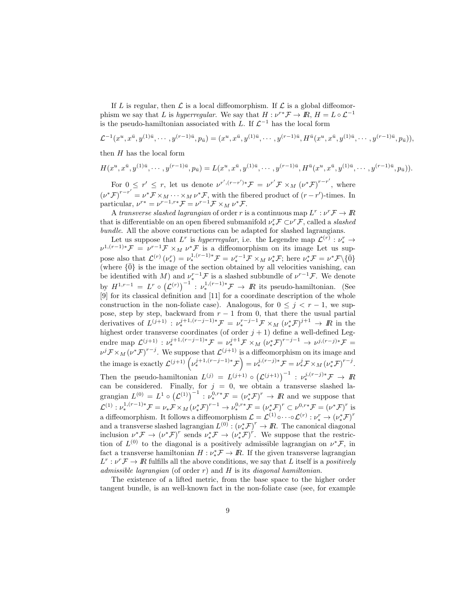If L is regular, then  $\mathcal L$  is a local diffeomorphism. If  $\mathcal L$  is a global diffeomorphism we say that L is hyperregular. We say that  $H: \nu^{r*} \mathcal{F} \to \mathbb{R}$ ,  $H = L \circ \mathcal{L}^{-1}$ is the pseudo-hamiltonian associated with L. If  $\mathcal{L}^{-1}$  has the local form

$$
\mathcal{L}^{-1}(x^u, x^{\bar{u}}, y^{(1)\bar{u}}, \cdots, y^{(r-1)\bar{u}}, p_{\bar{u}}) = (x^u, x^{\bar{u}}, y^{(1)\bar{u}}, \cdots, y^{(r-1)\bar{u}}, H^{\bar{u}}(x^u, x^{\bar{u}}, y^{(1)\bar{u}}, \cdots, y^{(r-1)\bar{u}}, p_{\bar{u}})),
$$

then  $H$  has the local form

$$
H(x^u, x^{\bar{u}}, y^{(1)\bar{u}}, \cdots, y^{(r-1)\bar{u}}, p_{\bar{u}}) = L(x^u, x^{\bar{u}}, y^{(1)\bar{u}}, \cdots, y^{(r-1)\bar{u}}, H^{\bar{u}}(x^u, x^{\bar{u}}, y^{(1)\bar{u}}, \cdots, y^{(r-1)\bar{u}}, p_{\bar{u}})).
$$

For  $0 \leq r' \leq r$ , let us denote  $\nu^{r',(r-r')*}\mathcal{F} = \nu^{r'}\mathcal{F} \times_M (\nu^*\mathcal{F})^{r-r'}$ , where  $(\nu^* \mathcal{F})^{r-r'} = \nu^* \mathcal{F} \times_M \cdots \times_M \nu^* \mathcal{F}$ , with the fibered product of  $(r-r')$ -times. In particular,  $\nu^{r*} = \nu^{r-1,r*} \mathcal{F} = \nu^{r-1} \mathcal{F} \times_M \nu^* \mathcal{F}.$ 

A transverse slashed lagrangian of order r is a continuous map  $L^r: \nu^r \mathcal{F} \to I\!\!R$ that is differentiable on an open fibered submanifold  $\nu_*^r \mathcal{F} \subset \nu^r \mathcal{F}$ , called a *slashed* bundle. All the above constructions can be adapted for slashed lagrangians.

Let us suppose that L<sup>r</sup> is hyperregular, i.e. the Legendre map  $\mathcal{L}^{(r)}: \nu^r_* \to$  $\nu^{1,(r-1)*}$   $\mathcal{F} = \nu^{r-1}$   $\mathcal{F} \times_M \nu^*$  is a diffeomorphism on its image Let us suppose also that  $\mathcal{L}^{(r)}(\nu^r_*) = \nu^{1,(r-1)*}_* \mathcal{F} = \nu^{r-1}_* \mathcal{F} \times_M \nu^*_* \mathcal{F}$ ; here  $\nu^*_* \mathcal{F} = \nu^* \mathcal{F} \setminus {\overline{0}}$ (where  $\{\bar{0}\}\$ is the image of the section obtained by all velocities vanishing, can be identified with M) and  $\nu_*^{r-1}$  F is a slashed subbundle of  $\nu^{r-1}$  F. We denote by  $H^{1,r-1} = L^r \circ (\mathcal{L}^{(r)})^{-1} : \nu_*^{1,(r-1)*} \mathcal{F} \to \mathbb{R}$  its pseudo-hamiltonian. (See [9] for its classical definition and [11] for a coordinate description of the whole construction in the non-foliate case). Analogous, for  $0 \leq j \leq r-1$ , we suppose, step by step, backward from  $r - 1$  from 0, that there the usual partial derivatives of  $L^{(j+1)}$ :  $\nu_*^{j+1,(r-j-1)*} \mathcal{F} = \nu_*^{r-j-1} \mathcal{F} \times_M (\nu_*^* \mathcal{F})^{j+1} \to \mathbb{R}$  in the highest order transverse coordinates (of order  $j + 1$ ) define a well-defined Legendre map  $\mathcal{L}^{(j+1)} : \nu_*^{j+1,(r-j-1)*} \mathcal{F} = \nu_*^{j+1} \mathcal{F} \times_M (\nu_*^* \mathcal{F})^{r-j-1} \to \nu^{j,(r-j)*} \mathcal{F} =$  $\nu^{j} \mathcal{F} \times_M (\nu^* \mathcal{F})^{r-j}$ . We suppose that  $\mathcal{L}^{(j+1)}$  is a diffeomorphism on its image and the image is exactly  $\mathcal{L}^{(j+1)}\left(\nu_*^{j+1,(r-j-1)*}\mathcal{F}\right) = \nu_*^{j,(r-j)*}\mathcal{F} = \nu_*^j\mathcal{F} \times_M (\nu_*^*\mathcal{F})^{r-j}.$ Then the pseudo-hamiltonian  $L^{(j)} = L^{(j+1)} \circ (L^{(j+1)})^{-1} : \nu_*^{j,(r-j)*} \mathcal{F} \to \mathbb{R}$ can be considered. Finally, for  $j = 0$ , we obtain a transverse slashed lagrangian  $L^{(0)} = L^1 \circ (\mathcal{L}^{(1)})^{-1} : \nu_*^{0,r*} \mathcal{F} = (\nu_*^* \mathcal{F})^r \to I\!\!R$  and we suppose that  $\mathcal{L}^{(1)}: \nu^{1,(r-1)*}_{*} \mathcal{F} = \nu_{*} \mathcal{F} \times_M (\nu_{*}^{*} \mathcal{F})^{r-1} \to \nu^{0,r*}_{*} \mathcal{F} = (\nu_{*}^{*} \mathcal{F})^{r} \subset \nu^{0,r*} \mathcal{F} = (\nu^{*} \mathcal{F})^{r}$  is a diffeomorphism. It follows a diffeomorphism  $\mathcal{L} = \mathcal{L}^{(1)} \circ \cdots \circ \mathcal{L}^{(r)} : \nu_*^r \to (\nu_*^* \mathcal{F})^r$ and a transverse slashed lagrangian  $L^{(0)} : (\nu_*^* \mathcal{F})^r \to \mathbb{R}$ . The canonical diagonal inclusion  $\nu^* \mathcal{F} \to (\nu^* \mathcal{F})^r$  sends  $\nu^* \mathcal{F} \to (\nu^* \mathcal{F})^r$ . We suppose that the restriction of  $L^{(0)}$  to the diagonal is a positively admissible lagrangian on  $\nu^* \mathcal{F}$ , in fact a transverse hamiltonian  $H: \nu^*_*\mathcal{F} \to \mathbb{R}$ . If the given transverse lagrangian  $L^r: \nu^r \to \mathbb{R}$  fulfills all the above conditions, we say that L itself is a positively admissible lagrangian (of order  $r$ ) and  $H$  is its diagonal hamiltonian.

The existence of a lifted metric, from the base space to the higher order tangent bundle, is an well-known fact in the non-foliate case (see, for example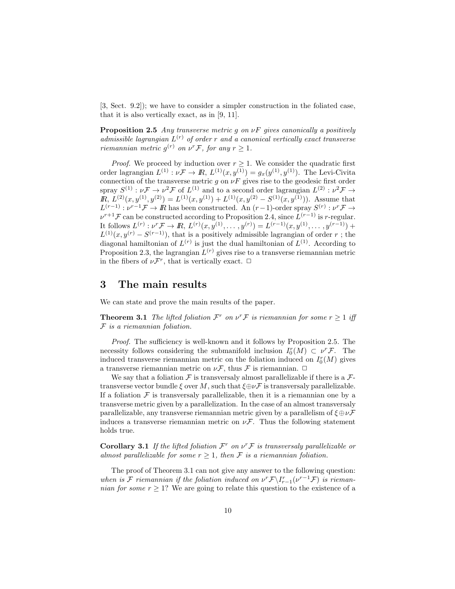[3, Sect. 9.2]); we have to consider a simpler construction in the foliated case, that it is also vertically exact, as in [9, 11].

**Proposition 2.5** Any transverse metric g on  $\nu F$  gives canonically a positively admissible lagrangian  $L^{(r)}$  of order r and a canonical vertically exact transverse riemannian metric  $g^{(r)}$  on  $\nu^r \mathcal{F}$ , for any  $r \geq 1$ .

*Proof.* We proceed by induction over  $r \geq 1$ . We consider the quadratic first order lagrangian  $L^{(1)}: \nu \mathcal{F} \to I\! \! R, L^{(1)}(x, y^{(1)}) = g_x(y^{(1)}, y^{(1)})$ . The Levi-Civita connection of the transverse metric g on  $\nu F$  gives rise to the geodesic first order spray  $S^{(1)}: \nu \mathcal{F} \to \nu^2 \mathcal{F}$  of  $L^{(1)}$  and to a second order lagrangian  $L^{(2)}: \nu^2 \mathcal{F} \to$  $\mathbb{R}, L^{(2)}(x, y^{(1)}, y^{(2)}) = L^{(1)}(x, y^{(1)}) + L^{(1)}(x, y^{(2)} - S^{(1)}(x, y^{(1)})).$  Assume that  $L^{(r-1)}: \nu^{r-1}\mathcal{F} \to \mathbb{R}$  has been constructed. An  $(r-1)$ -order spray  $S^{(r)}: \nu^{r}\mathcal{F} \to$  $\nu^{r+1}$ F can be constructed according to Proposition 2.4, since  $\hat{L}^{(r-1)}$  is r-regular. It follows  $L^{(r)}: \nu^r \mathcal{F} \to \mathbb{R}, L^{(r)}(x, y^{(1)}, \ldots, y^{(r)}) = L^{(r-1)}(x, y^{(1)}, \ldots, y^{(r-1)}) +$  $L^{(1)}(x, y^{(r)} - S^{(r-1)})$ , that is a positively admissible lagrangian of order r; the diagonal hamiltonian of  $L^{(r)}$  is just the dual hamiltonian of  $L^{(1)}$ . According to Proposition 2.3, the lagrangian  $L^{(r)}$  gives rise to a transverse riemannian metric in the fibers of  $\nu \mathcal{F}^r$ , that is vertically exact.  $\Box$ 

### 3 The main results

We can state and prove the main results of the paper.

**Theorem 3.1** The lifted foliation  $\mathcal{F}^r$  on  $v^r \mathcal{F}$  is riemannian for some  $r \geq 1$  iff  $F$  is a riemannian foliation.

Proof. The sufficiency is well-known and it follows by Proposition 2.5. The necessity follows considering the submanifold inclusion  $I_0^r(M) \subset \nu^r \mathcal{F}$ . The induced transverse riemannian metric on the foliation induced on  $I_0^r(M)$  gives a transverse riemannian metric on  $\nu \mathcal{F}$ , thus  $\mathcal F$  is riemannian.  $\Box$ 

We say that a foliation  $\mathcal F$  is transversaly almost parallelizable if there is a  $\mathcal F$ transverse vector bundle  $\xi$  over M, such that  $\xi \oplus \nu \mathcal{F}$  is transversaly parallelizable. If a foliation  $\mathcal F$  is transversaly parallelizable, then it is a riemannian one by a transverse metric given by a parallelization. In the case of an almost transversaly parallelizable, any transverse riemannian metric given by a parallelism of  $\xi \oplus \nu \mathcal{F}$ induces a transverse riemannian metric on  $\nu \mathcal{F}$ . Thus the following statement holds true.

**Corollary 3.1** If the lifted foliation  $\mathcal{F}^r$  on  $\nu^r \mathcal{F}$  is transversaly parallelizable or almost parallelizable for some  $r > 1$ , then F is a riemannian foliation.

The proof of Theorem 3.1 can not give any answer to the following question: when is F riemannian if the foliation induced on  $\nu^r \mathcal{F} \setminus I_{r-1}^r(\nu^{r-1} \mathcal{F})$  is riemannian for some  $r \geq 1$ ? We are going to relate this question to the existence of a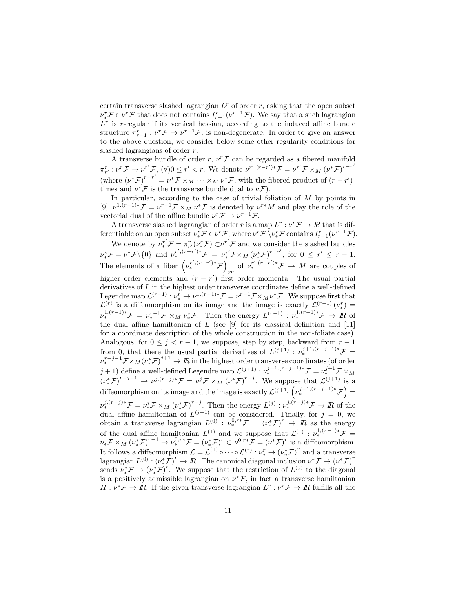certain transverse slashed lagrangian  $L<sup>r</sup>$  of order r, asking that the open subset  $\nu_*^r \mathcal{F} \subset \nu^r \mathcal{F}$  that does not contains  $I_{r-1}^r(\nu^{r-1} \mathcal{F})$ . We say that a such lagrangian  $L<sup>r</sup>$  is r-regular if its vertical hessian, according to the induced affine bundle structure  $\pi_{r-1}^r : \nu^r \mathcal{F} \to \nu^{r-1} \mathcal{F}$ , is non-degenerate. In order to give an answer to the above question, we consider below some other regularity conditions for slashed lagrangians of order r.

A transverse bundle of order  $r, v^r \mathcal{F}$  can be regarded as a fibered manifold  $\pi_{r'}^r : \nu^r \mathcal{F} \to \nu^{r'} \mathcal{F}, \ (\forall) 0 \leq r' < r.$  We denote  $\nu^{r', (r-r')*} \mathcal{F} = \nu^{r'} \mathcal{F} \times_M (\nu^* \mathcal{F})^{r-r'}$ (where  $(\nu^* \mathcal{F})^{r-r'} = \nu^* \mathcal{F} \times_M \cdots \times_M \nu^* \mathcal{F}$ , with the fibered product of  $(r-r')$ times and  $\nu^*\mathcal{F}$  is the transverse bundle dual to  $\nu\mathcal{F}$ ).

In particular, according to the case of trivial foliation of  $M$  by points in [9],  $\nu^{1.(r-1)*}F = \nu^{r-1}F \times_M \nu^*F$  is denoted by  $\nu^{r*}M$  and play the role of the vectorial dual of the affine bundle  $\nu^r \mathcal{F} \to \nu^{r-1} \mathcal{F}$ .

A transverse slashed lagrangian of order r is a map  $L^r: \nu^r \mathcal{F} \to I\!\!R$  that is differentiable on an open subset  $\nu_*^r \mathcal{F} \subset \nu^r \mathcal{F}$ , where  $\nu^r \mathcal{F} \setminus \nu_*^r \mathcal{F}$  contains  $I_{r-1}^r(\nu^{r-1} \mathcal{F})$ .

We denote by  $\nu_*^{r'}\mathcal{F} = \pi_{r'}^r(\nu_*^r\mathcal{F}) \subset \nu^{r'}\mathcal{F}$  and we consider the slashed bundles  $\nu^*_*\mathcal{F} = \nu^*\mathcal{F} \setminus {\{\overline{0}\}} \text{ and } \nu^{r',(r-r')*}_* \mathcal{F} = \nu^{r'}_*\mathcal{F} \times_M (\nu^*_*\mathcal{F})^{r-r'} \text{, for } 0 \leq r' \leq r-1.$ The elements of a fiber  $(\nu_*^{r',(r-r')*}\mathcal{F})$ of  $\nu_*^{r',(r-r')*} \mathcal{F} \to M$  are couples of higher order elements and  $(r - r')$  first order momenta. The usual partial derivatives of  $L$  in the highest order transverse coordinates define a well-defined Legendre map  $\mathcal{L}^{(r-1)}: \nu^r_* \to \nu^{1,(r-1)*} \mathcal{F} = \nu^{r-1} \mathcal{F} \times_M \nu^* \mathcal{F}$ . We suppose first that  $\mathcal{L}^{(r)}$  is a diffeomorphism on its image and the image is exactly  $\mathcal{L}^{(r-1)}(\nu^r_*)$  $\nu^{1,(r-1)*}_* \mathcal{F} = \nu^{r-1}_* \mathcal{F} \times_M \nu^*_* \mathcal{F}$ . Then the energy  $L^{(r-1)} : \nu^{1,(r-1)*}_* \mathcal{F} \to \mathcal{F}$  of the dual affine hamiltonian of  $L$  (see [9] for its classical definition and [11] for a coordinate description of the whole construction in the non-foliate case). Analogous, for  $0 \leq j < r - 1$ , we suppose, step by step, backward from  $r - 1$ from 0, that there the usual partial derivatives of  $L^{(j+1)}$  :  $\nu_*^{j+1,(r-j-1)*} \mathcal{F} =$  $\nu_*^{r-j-1} \mathcal{F} \times_M (\nu_*^* \mathcal{F})^{j+1} \to I\!\!R$  in the highest order transverse coordinates (of order  $j+1$ ) define a well-defined Legendre map  $\mathcal{L}^{(j+1)}: \nu^{j+1,(r-j-1)*}_* \mathcal{F} = \nu^{j+1}_* \mathcal{F} \times_M$  $(\nu^* \mathcal{F})^{r-j-1} \to \nu^{j,(r-j)*} \mathcal{F} = \nu^{j} \mathcal{F} \times_M (\nu^* \mathcal{F})^{r-j}$ . We suppose that  $\mathcal{L}^{(j+1)}$  is a diffeomorphism on its image and the image is exactly  $\mathcal{L}^{(j+1)}\left(\nu_*^{j+1,(r-j-1)*}\mathcal{F}\right)$  $\nu_*^{j,(r-j)*} \mathcal{F} = \nu_*^j \mathcal{F} \times_M (\nu_*^* \mathcal{F})^{r-j}$ . Then the energy  $L^{(j)} : \nu_*^{j,(r-j)*} \mathcal{F} \to I\!R$  of the dual affine hamiltonian of  $L^{(j+1)}$  can be considered. Finally, for  $j = 0$ , we obtain a transverse lagrangian  $L^{(0)}$ :  $\nu_*^{0,r*} \mathcal{F} = (\nu_*^* \mathcal{F})^r \rightarrow \mathbb{R}$  as the energy of the dual affine hamiltonian  $L^{(1)}$  and we suppose that  $\mathcal{L}^{(1)}$  :  $\nu_*^{1,(r-1)*} \mathcal{F} =$  $\nu_* \mathcal{F} \times_M (\nu_*^* \mathcal{F})^{r-1} \to \nu_*^{0,r*} \mathcal{F} = (\nu_*^* \mathcal{F})^r \subset \nu^{0,r*} \mathcal{F} = (\nu^* \mathcal{F})^r$  is a diffeomorphism. It follows a diffeomorphism  $\mathcal{L} = \mathcal{L}^{(1)} \circ \cdots \circ \mathcal{L}^{(r)} : \nu_*^r \to (\nu_*^* \mathcal{F})^r$  and a transverse lagrangian  $L^{(0)}:(\nu^*_*\mathcal{F})^r\to\mathbb{R}$ . The canonical diagonal inclusion  $\nu^*\mathcal{F}\to(\nu^*\mathcal{F})^r$ sends  $\nu_*^* \mathcal{F} \to (\nu_*^* \mathcal{F})^r$ . We suppose that the restriction of  $L^{(0)}$  to the diagonal is a positively admissible lagrangian on  $\nu^*\mathcal{F}$ , in fact a transverse hamiltonian  $H: \nu^* \mathcal{F} \to I\!\!R$ . If the given transverse lagrangian  $L^r: \nu^r \mathcal{F} \to I\!\!R$  fulfills all the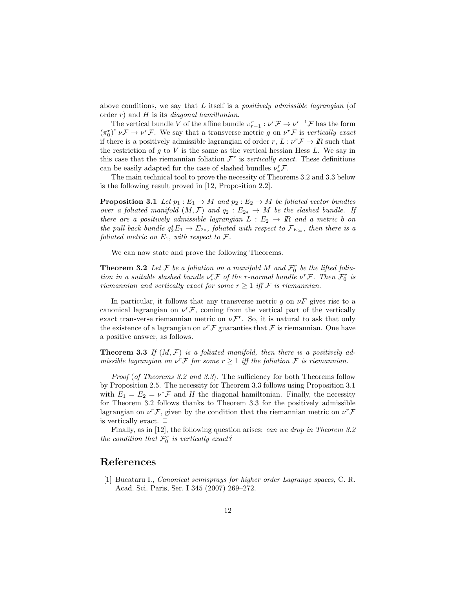above conditions, we say that  $L$  itself is a *positively admissible lagrangian* (of order  $r$ ) and  $H$  is its *diagonal hamiltonian*.

The vertical bundle V of the affine bundle  $\pi_{r-1}^r : \nu^r \mathcal{F} \to \nu^{r-1} \mathcal{F}$  has the form  $(\pi_0^r)^* \nu \mathcal{F} \to \nu^r \mathcal{F}$ . We say that a transverse metric g on  $\nu^r \mathcal{F}$  is vertically exact if there is a positively admissible lagrangian of order  $r, L: \nu^r \mathcal{F} \to I\!\!R$  such that the restriction of  $g$  to  $V$  is the same as the vertical hessian Hess  $L$ . We say in this case that the riemannian foliation  $\mathcal{F}^r$  is vertically exact. These definitions can be easily adapted for the case of slashed bundles  $\nu_*^r \mathcal{F}$ .

The main technical tool to prove the necessity of Theorems 3.2 and 3.3 below is the following result proved in [12, Proposition 2.2].

**Proposition 3.1** Let  $p_1 : E_1 \to M$  and  $p_2 : E_2 \to M$  be foliated vector bundles over a foliated manifold  $(M, \mathcal{F})$  and  $q_2 : E_{2*} \to M$  be the slashed bundle. If there are a positively admissible lagrangian  $L : E_2 \to \mathbb{R}$  and a metric b on the pull back bundle  $q_2^*E_1 \rightarrow E_{2*}$ , foliated with respect to  $\mathcal{F}_{E_{2*}}$ , then there is a foliated metric on  $E_1$ , with respect to  $\mathcal{F}.$ 

We can now state and prove the following Theorems.

**Theorem 3.2** Let F be a foliation on a manifold M and  $\mathcal{F}_0^r$  be the lifted foliation in a suitable slashed bundle  $\nu_*^r \mathcal{F}$  of the r-normal bundle  $\nu^r \mathcal{F}$ . Then  $\mathcal{F}_0^r$  is riemannian and vertically exact for some  $r \geq 1$  iff F is riemannian.

In particular, it follows that any transverse metric g on  $\nu F$  gives rise to a canonical lagrangian on  $\nu^r \mathcal{F}$ , coming from the vertical part of the vertically exact transverse riemannian metric on  $\nu \mathcal{F}^r$ . So, it is natural to ask that only the existence of a lagrangian on  $\nu^r \mathcal{F}$  guaranties that  $\mathcal F$  is riemannian. One have a positive answer, as follows.

**Theorem 3.3** If  $(M, \mathcal{F})$  is a foliated manifold, then there is a positively admissible lagrangian on  $\nu^r \mathcal{F}$  for some  $r \geq 1$  iff the foliation  $\mathcal{F}$  is riemannian.

Proof (of Theorems 3.2 and 3.3). The sufficiency for both Theorems follow by Proposition 2.5. The necessity for Theorem 3.3 follows using Proposition 3.1 with  $E_1 = E_2 = \nu^* \mathcal{F}$  and H the diagonal hamiltonian. Finally, the necessity for Theorem 3.2 follows thanks to Theorem 3.3 for the positively admissible lagrangian on  $\nu^r \mathcal{F}$ , given by the condition that the riemannian metric on  $\nu^r \mathcal{F}$ is vertically exact.  $\Box$ 

Finally, as in [12], the following question arises: *can we drop in Theorem 3.2* the condition that  $\mathcal{F}_0^r$  is vertically exact?

### References

[1] Bucataru I., Canonical semisprays for higher order Lagrange spaces, C. R. Acad. Sci. Paris, Ser. I 345 (2007) 269–272.